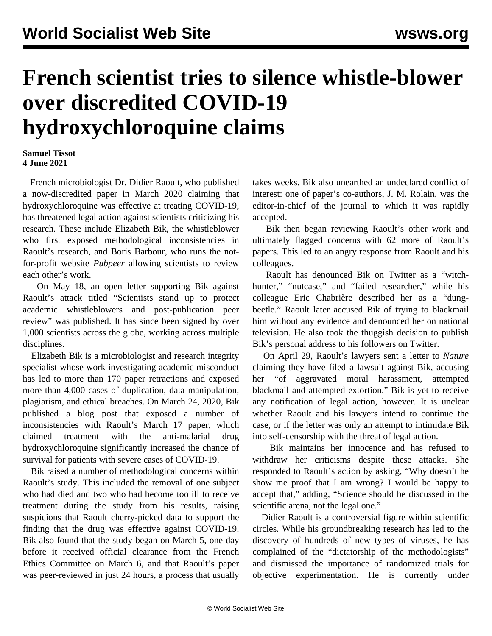## **French scientist tries to silence whistle-blower over discredited COVID-19 hydroxychloroquine claims**

## **Samuel Tissot 4 June 2021**

 French microbiologist Dr. Didier Raoult, who published a now-discredited paper in March 2020 claiming that hydroxychloroquine was effective at treating COVID-19, has threatened legal action against scientists criticizing his research. These include Elizabeth Bik, the whistleblower who first exposed methodological inconsistencies in Raoult's research, and Boris Barbour, who runs the notfor-profit website *Pubpeer* allowing scientists to review each other's work.

 On May 18, an [open letter](https://osf.io/2awsv/) supporting Bik against Raoult's attack titled "Scientists stand up to protect academic whistleblowers and post-publication peer review" was published. It has since been signed by over 1,000 scientists across the globe, working across multiple disciplines.

 Elizabeth Bik is a microbiologist and research integrity specialist whose work investigating academic misconduct has led to more than 170 paper retractions and exposed more than 4,000 cases of duplication, data manipulation, plagiarism, and ethical breaches. On March 24, 2020, Bik published a blog post that exposed a number of inconsistencies with Raoult's March 17 paper, which claimed treatment with the anti-malarial drug hydroxychloroquine significantly increased the chance of survival for patients with severe cases of COVID-19.

 Bik raised a number of methodological concerns within Raoult's study. This included the removal of one subject who had died and two who had become too ill to receive treatment during the study from his results, raising suspicions that Raoult cherry-picked data to support the finding that the drug was effective against COVID-19. Bik also found that the study began on March 5, one day before it received official clearance from the French Ethics Committee on March 6, and that Raoult's paper was peer-reviewed in just 24 hours, a process that usually

takes weeks. Bik also unearthed an undeclared conflict of interest: one of paper's co-authors, J. M. Rolain, was the editor-in-chief of the journal to which it was rapidly accepted.

 Bik then began reviewing Raoult's other work and ultimately flagged concerns with 62 more of Raoult's papers. This led to an angry response from Raoult and his colleagues.

 Raoult has denounced Bik on Twitter as a "witchhunter," "nutcase," and "failed researcher," while his colleague Eric Chabrière described her as a "dungbeetle." Raoult later accused Bik of trying to blackmail him without any evidence and denounced her on national television. He also took the thuggish decision to publish Bik's personal address to his followers on Twitter.

 On April 29, Raoult's lawyers sent a letter to *Nature* claiming they have filed a lawsuit against Bik, accusing her "of aggravated moral harassment, attempted blackmail and attempted extortion." Bik is yet to receive any notification of legal action, however. It is unclear whether Raoult and his lawyers intend to continue the case, or if the letter was only an attempt to intimidate Bik into self-censorship with the threat of legal action.

 Bik maintains her innocence and has refused to withdraw her criticisms despite these attacks. She responded to Raoult's action by asking, "Why doesn't he show me proof that I am wrong? I would be happy to accept that," adding, "Science should be discussed in the scientific arena, not the legal one."

 Didier Raoult is a controversial figure within scientific circles. While his groundbreaking research has led to the discovery of hundreds of new types of viruses, he has complained of the "dictatorship of the methodologists" and dismissed the importance of randomized trials for objective experimentation. He is currently under